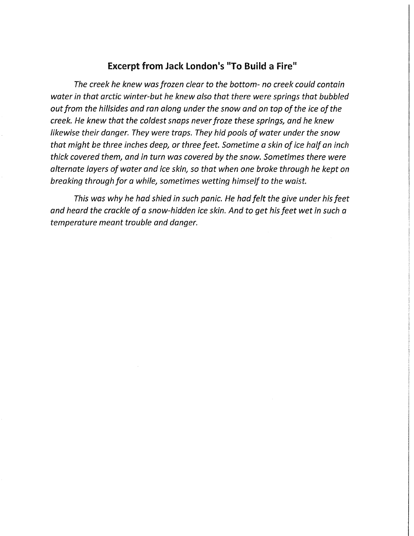## **Excerpt from Jack London's "To Build** a **Fire"**

*The creek he knew was frozen clear to the bottom- no creek could contain water in that arctic winter-but he knew also that there were springs that bubbled out from the hillsides and ran along under the snow and on top of the ice of the creek. He knew that the coldest snaps never froze these springs, and he knew likewise their danger. They were traps. They hid pools of water under the snow that might be three inches deep, or three feet. Sometime a skin of ice half an inch thick covered them, and in turn was covered by the snow. Sometimes there were alternate layers of water and ice skin, so that when one broke through he kept on breaking through for a while, sometimes wetting himself to the waist.* 

*This was why he had shied in such panic. He had felt the give under his feet and heard the crackle of a snow-hidden ice skin. And to get his feet wet in such a temperature meant trouble and danger.*